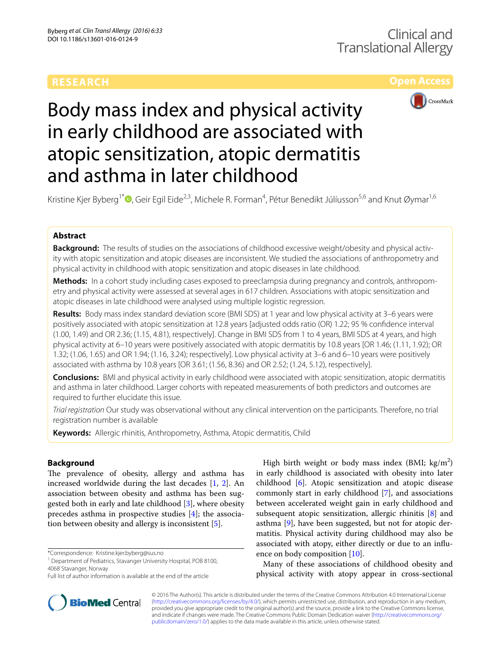# **Open Access**



# Body mass index and physical activity in early childhood are associated with atopic sensitization, atopic dermatitis and asthma in later childhood

Kristine Kjer Byberg<sup>1\*</sup>®[,](http://orcid.org/0000-0002-4529-2196) Geir Egil Eide<sup>2,3</sup>, Michele R. Forman<sup>4</sup>, Pétur Benedikt Júlíusson<sup>5,6</sup> and Knut Øymar<sup>1,6</sup>

# **Abstract**

**Background:** The results of studies on the associations of childhood excessive weight/obesity and physical activity with atopic sensitization and atopic diseases are inconsistent. We studied the associations of anthropometry and physical activity in childhood with atopic sensitization and atopic diseases in late childhood.

**Methods:** In a cohort study including cases exposed to preeclampsia during pregnancy and controls, anthropometry and physical activity were assessed at several ages in 617 children. Associations with atopic sensitization and atopic diseases in late childhood were analysed using multiple logistic regression.

**Results:** Body mass index standard deviation score (BMI SDS) at 1 year and low physical activity at 3–6 years were positively associated with atopic sensitization at 12.8 years [adjusted odds ratio (OR) 1.22; 95 % confidence interval (1.00, 1.49) and OR 2.36; (1.15, 4.81), respectively]. Change in BMI SDS from 1 to 4 years, BMI SDS at 4 years, and high physical activity at 6–10 years were positively associated with atopic dermatitis by 10.8 years [OR 1.46; (1.11, 1.92); OR 1.32; (1.06, 1.65) and OR 1.94; (1.16, 3.24); respectively]. Low physical activity at 3–6 and 6–10 years were positively associated with asthma by 10.8 years [OR 3.61; (1.56, 8.36) and OR 2.52; (1.24, 5.12), respectively].

**Conclusions:** BMI and physical activity in early childhood were associated with atopic sensitization, atopic dermatitis and asthma in later childhood. Larger cohorts with repeated measurements of both predictors and outcomes are required to further elucidate this issue.

*Trial registration* Our study was observational without any clinical intervention on the participants. Therefore, no trial registration number is available

**Keywords:** Allergic rhinitis, Anthropometry, Asthma, Atopic dermatitis, Child

# **Background**

The prevalence of obesity, allergy and asthma has increased worldwide during the last decades  $[1, 2]$  $[1, 2]$  $[1, 2]$  $[1, 2]$ . An association between obesity and asthma has been suggested both in early and late childhood [\[3](#page-7-2)], where obesity precedes asthma in prospective studies [\[4](#page-7-3)]; the association between obesity and allergy is inconsistent [\[5](#page-7-4)].

\*Correspondence: Kristine.kjer.byberg@sus.no



Many of these associations of childhood obesity and physical activity with atopy appear in cross-sectional



© 2016 The Author(s). This article is distributed under the terms of the Creative Commons Attribution 4.0 International License [\(http://creativecommons.org/licenses/by/4.0/\)](http://creativecommons.org/licenses/by/4.0/), which permits unrestricted use, distribution, and reproduction in any medium, provided you give appropriate credit to the original author(s) and the source, provide a link to the Creative Commons license, and indicate if changes were made. The Creative Commons Public Domain Dedication waiver ([http://creativecommons.org/](http://creativecommons.org/publicdomain/zero/1.0/) [publicdomain/zero/1.0/](http://creativecommons.org/publicdomain/zero/1.0/)) applies to the data made available in this article, unless otherwise stated.

<sup>&</sup>lt;sup>1</sup> Department of Pediatrics, Stavanger University Hospital, POB 8100, 4068 Stavanger, Norway

Full list of author information is available at the end of the article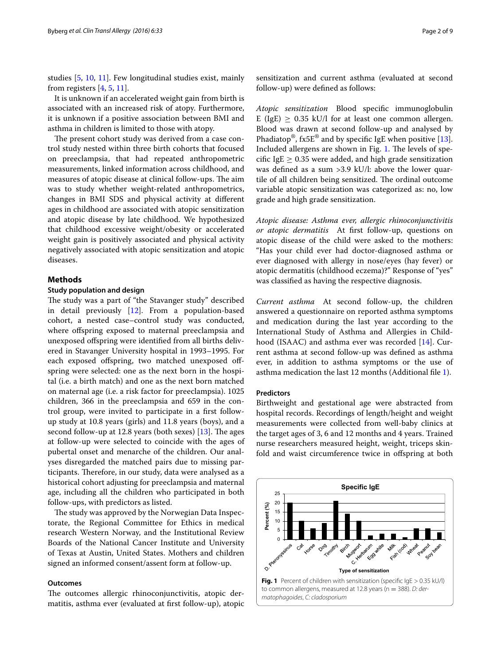studies [\[5](#page-7-4), [10](#page-7-9), [11](#page-7-10)]. Few longitudinal studies exist, mainly from registers  $[4, 5, 11]$  $[4, 5, 11]$  $[4, 5, 11]$  $[4, 5, 11]$  $[4, 5, 11]$ .

It is unknown if an accelerated weight gain from birth is associated with an increased risk of atopy. Furthermore, it is unknown if a positive association between BMI and asthma in children is limited to those with atopy.

The present cohort study was derived from a case control study nested within three birth cohorts that focused on preeclampsia, that had repeated anthropometric measurements, linked information across childhood, and measures of atopic disease at clinical follow-ups. The aim was to study whether weight-related anthropometrics, changes in BMI SDS and physical activity at different ages in childhood are associated with atopic sensitization and atopic disease by late childhood. We hypothesized that childhood excessive weight/obesity or accelerated weight gain is positively associated and physical activity negatively associated with atopic sensitization and atopic diseases.

# **Methods**

## **Study population and design**

The study was a part of "the Stavanger study" described in detail previously [[12\]](#page-8-0). From a population-based cohort, a nested case–control study was conducted, where offspring exposed to maternal preeclampsia and unexposed offspring were identified from all births delivered in Stavanger University hospital in 1993–1995. For each exposed offspring, two matched unexposed offspring were selected: one as the next born in the hospital (i.e. a birth match) and one as the next born matched on maternal age (i.e. a risk factor for preeclampsia). 1025 children, 366 in the preeclampsia and 659 in the control group, were invited to participate in a first followup study at 10.8 years (girls) and 11.8 years (boys), and a second follow-up at 12.8 years (both sexes) [[13](#page-8-1)]. The ages at follow-up were selected to coincide with the ages of pubertal onset and menarche of the children. Our analyses disregarded the matched pairs due to missing participants. Therefore, in our study, data were analysed as a historical cohort adjusting for preeclampsia and maternal age, including all the children who participated in both follow-ups, with predictors as listed.

The study was approved by the Norwegian Data Inspectorate, the Regional Committee for Ethics in medical research Western Norway, and the Institutional Review Boards of the National Cancer Institute and University of Texas at Austin, United States. Mothers and children signed an informed consent/assent form at follow-up.

### **Outcomes**

The outcomes allergic rhinoconjunctivitis, atopic dermatitis, asthma ever (evaluated at first follow-up), atopic

sensitization and current asthma (evaluated at second follow-up) were defined as follows:

*Atopic sensitization* Blood specific immunoglobulin E (IgE)  $> 0.35$  kU/l for at least one common allergen. Blood was drawn at second follow-up and analysed by Phadiatop<sup>®</sup>, fx5E<sup>®</sup> and by specific IgE when positive [\[13](#page-8-1)]. Included allergens are shown in Fig. [1.](#page-1-0) The levels of specific IgE  $> 0.35$  were added, and high grade sensitization was defined as a sum >3.9 kU/l: above the lower quartile of all children being sensitized. The ordinal outcome variable atopic sensitization was categorized as: no, low grade and high grade sensitization.

*Atopic disease: Asthma ever, allergic rhinoconjunctivitis or atopic dermatitis* At first follow-up, questions on atopic disease of the child were asked to the mothers: "Has your child ever had doctor-diagnosed asthma or ever diagnosed with allergy in nose/eyes (hay fever) or atopic dermatitis (childhood eczema)?" Response of "yes" was classified as having the respective diagnosis.

*Current asthma* At second follow-up, the children answered a questionnaire on reported asthma symptoms and medication during the last year according to the International Study of Asthma and Allergies in Childhood (ISAAC) and asthma ever was recorded [\[14](#page-8-2)]. Current asthma at second follow-up was defined as asthma ever, in addition to asthma symptoms or the use of asthma medication the last 12 months (Additional file [1](#page-7-11)).

#### **Predictors**

Birthweight and gestational age were abstracted from hospital records. Recordings of length/height and weight measurements were collected from well-baby clinics at the target ages of 3, 6 and 12 months and 4 years. Trained nurse researchers measured height, weight, triceps skinfold and waist circumference twice in offspring at both

<span id="page-1-0"></span>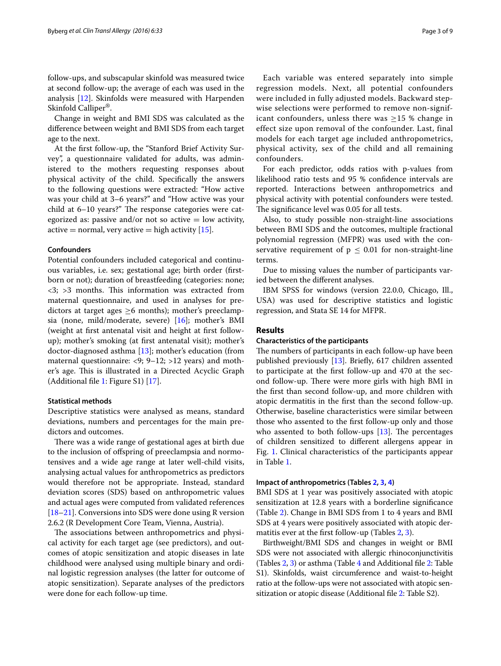follow-ups, and subscapular skinfold was measured twice at second follow-up; the average of each was used in the analysis [\[12](#page-8-0)]. Skinfolds were measured with Harpenden Skinfold Calliper®.

Change in weight and BMI SDS was calculated as the difference between weight and BMI SDS from each target age to the next.

At the first follow-up, the "Stanford Brief Activity Survey", a questionnaire validated for adults, was administered to the mothers requesting responses about physical activity of the child. Specifically the answers to the following questions were extracted: "How active was your child at 3–6 years?" and "How active was your child at 6–10 years?" The response categories were categorized as: passive and/or not so active  $=$  low activity, active = normal, very active = high activity  $[15]$  $[15]$ .

#### **Confounders**

Potential confounders included categorical and continuous variables, i.e. sex; gestational age; birth order (firstborn or not); duration of breastfeeding (categories: none; <3; >3 months. This information was extracted from maternal questionnaire, and used in analyses for predictors at target ages  $\geq 6$  months); mother's preeclampsia (none, mild/moderate, severe) [[16](#page-8-4)]; mother's BMI (weight at first antenatal visit and height at first followup); mother's smoking (at first antenatal visit); mother's doctor-diagnosed asthma [\[13](#page-8-1)]; mother's education (from maternal questionnaire: <9; 9–12; >12 years) and mother's age. This is illustrated in a Directed Acyclic Graph (Additional file [1](#page-7-11): Figure S1) [[17\]](#page-8-5).

#### **Statistical methods**

Descriptive statistics were analysed as means, standard deviations, numbers and percentages for the main predictors and outcomes.

There was a wide range of gestational ages at birth due to the inclusion of offspring of preeclampsia and normotensives and a wide age range at later well-child visits, analysing actual values for anthropometrics as predictors would therefore not be appropriate. Instead, standard deviation scores (SDS) based on anthropometric values and actual ages were computed from validated references [[18–](#page-8-6)[21](#page-8-7)]. Conversions into SDS were done using R version 2.6.2 (R Development Core Team, Vienna, Austria).

The associations between anthropometrics and physical activity for each target age (see predictors), and outcomes of atopic sensitization and atopic diseases in late childhood were analysed using multiple binary and ordinal logistic regression analyses (the latter for outcome of atopic sensitization). Separate analyses of the predictors were done for each follow-up time.

Each variable was entered separately into simple regression models. Next, all potential confounders were included in fully adjusted models. Backward stepwise selections were performed to remove non-significant confounders, unless there was  $\geq$ 15 % change in effect size upon removal of the confounder. Last, final models for each target age included anthropometrics, physical activity, sex of the child and all remaining confounders.

For each predictor, odds ratios with p-values from likelihood ratio tests and 95 % confidence intervals are reported. Interactions between anthropometrics and physical activity with potential confounders were tested. The significance level was 0.05 for all tests.

Also, to study possible non-straight-line associations between BMI SDS and the outcomes, multiple fractional polynomial regression (MFPR) was used with the conservative requirement of  $p \leq 0.01$  for non-straight-line terms.

Due to missing values the number of participants varied between the different analyses.

IBM SPSS for windows (version 22.0.0, Chicago, Ill., USA) was used for descriptive statistics and logistic regression, and Stata SE 14 for MFPR.

#### **Results**

#### **Characteristics of the participants**

The numbers of participants in each follow-up have been published previously [\[13\]](#page-8-1). Briefly, 617 children assented to participate at the first follow-up and 470 at the second follow-up. There were more girls with high BMI in the first than second follow-up, and more children with atopic dermatitis in the first than the second follow-up. Otherwise, baseline characteristics were similar between those who assented to the first follow-up only and those who assented to both follow-ups  $[13]$  $[13]$ . The percentages of children sensitized to different allergens appear in Fig. [1.](#page-1-0) Clinical characteristics of the participants appear in Table [1.](#page-3-0)

#### **Impact of anthropometrics (Tables [2](#page-4-0), [3](#page-5-0), [4](#page-6-0))**

BMI SDS at 1 year was positively associated with atopic sensitization at 12.8 years with a borderline significance (Table [2\)](#page-4-0). Change in BMI SDS from 1 to 4 years and BMI SDS at 4 years were positively associated with atopic der-matitis ever at the first follow-up (Tables [2](#page-4-0), [3\)](#page-5-0).

Birthweight/BMI SDS and changes in weight or BMI SDS were not associated with allergic rhinoconjunctivitis (Tables [2,](#page-4-0) [3\)](#page-5-0) or asthma (Table [4](#page-6-0) and Additional file [2](#page-7-12): Table S1). Skinfolds, waist circumference and waist-to-height ratio at the follow-ups were not associated with atopic sensitization or atopic disease (Additional file [2](#page-7-12): Table S2).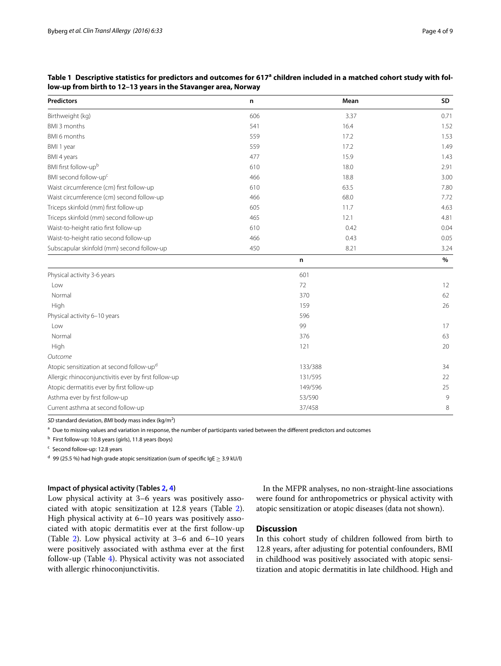| <b>Predictors</b>                                    | n   | Mean    | SD   |
|------------------------------------------------------|-----|---------|------|
| Birthweight (kg)                                     | 606 | 3.37    | 0.71 |
| BMI 3 months                                         | 541 | 16.4    | 1.52 |
| BMI 6 months                                         | 559 | 17.2    | 1.53 |
| BMI 1 year                                           | 559 | 17.2    | 1.49 |
| BMI 4 years                                          | 477 | 15.9    | 1.43 |
| BMI first follow-upb                                 | 610 | 18.0    | 2.91 |
| BMI second follow-up <sup>c</sup>                    | 466 | 18.8    | 3.00 |
| Waist circumference (cm) first follow-up             | 610 | 63.5    | 7.80 |
| Waist circumference (cm) second follow-up            | 466 | 68.0    | 7.72 |
| Triceps skinfold (mm) first follow-up                | 605 | 11.7    | 4.63 |
| Triceps skinfold (mm) second follow-up               | 465 | 12.1    | 4.81 |
| Waist-to-height ratio first follow-up                | 610 | 0.42    | 0.04 |
| Waist-to-height ratio second follow-up               | 466 | 0.43    | 0.05 |
| Subscapular skinfold (mm) second follow-up           | 450 | 8.21    | 3.24 |
|                                                      |     | n       | $\%$ |
| Physical activity 3-6 years                          |     | 601     |      |
| Low                                                  |     | 72      | 12   |
| Normal                                               |     | 370     | 62   |
| High                                                 |     | 159     | 26   |
| Physical activity 6-10 years                         |     | 596     |      |
| Low                                                  |     | 99      | 17   |
| Normal                                               |     | 376     | 63   |
| High                                                 |     | 121     | 20   |
| Outcome                                              |     |         |      |
| Atopic sensitization at second follow-upd            |     | 133/388 | 34   |
| Allergic rhinoconjunctivitis ever by first follow-up |     | 131/595 | 22   |
| Atopic dermatitis ever by first follow-up            |     | 149/596 | 25   |
| Asthma ever by first follow-up                       |     | 53/590  | 9    |
| Current asthma at second follow-up                   |     | 37/458  | 8    |

<span id="page-3-0"></span>Table 1 Descriptive statistics for predictors and outcomes for 617ª children included in a matched cohort study with fol**low-up from birth to 12–13 years in the Stavanger area, Norway**

SD standard deviation, BMI body mass index (kg/m<sup>2</sup>)

<sup>a</sup> Due to missing values and variation in response, the number of participants varied between the different predictors and outcomes

<sup>b</sup> First follow-up: 10.8 years (girls), 11.8 years (boys)

<sup>c</sup> Second follow-up: 12.8 years

<sup>d</sup> 99 (25.5 %) had high grade atopic sensitization (sum of specific IgE  $\geq$  3.9 kU/l)

# **Impact of physical activity (Tables [2](#page-4-0), [4](#page-6-0))**

Low physical activity at 3–6 years was positively associated with atopic sensitization at 12.8 years (Table [2](#page-4-0)). High physical activity at 6–10 years was positively associated with atopic dermatitis ever at the first follow-up (Table [2](#page-4-0)). Low physical activity at 3–6 and 6–10 years were positively associated with asthma ever at the first follow-up (Table [4\)](#page-6-0). Physical activity was not associated with allergic rhinoconjunctivitis.

In the MFPR analyses, no non-straight-line associations were found for anthropometrics or physical activity with atopic sensitization or atopic diseases (data not shown).

# **Discussion**

In this cohort study of children followed from birth to 12.8 years, after adjusting for potential confounders, BMI in childhood was positively associated with atopic sensitization and atopic dermatitis in late childhood. High and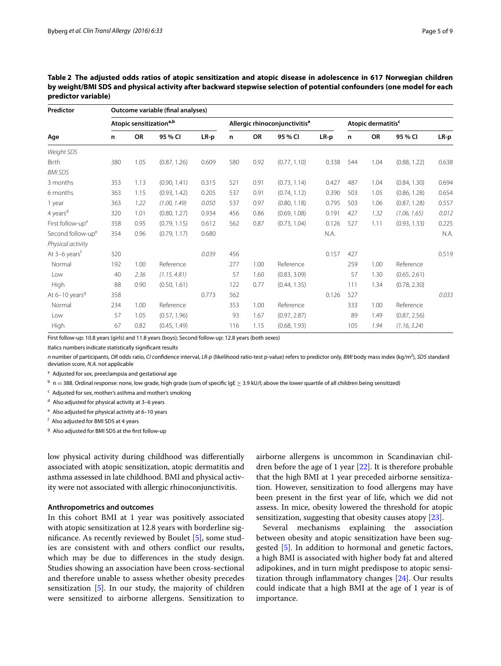| Predictor                    | Outcome variable (final analyses) |                                     |              |       |     |                                           |              |       |     |                                |              |       |  |
|------------------------------|-----------------------------------|-------------------------------------|--------------|-------|-----|-------------------------------------------|--------------|-------|-----|--------------------------------|--------------|-------|--|
| Age                          |                                   | Atopic sensitization <sup>a,b</sup> |              |       |     | Allergic rhinoconjunctivitis <sup>a</sup> |              |       |     | Atopic dermatitis <sup>c</sup> |              |       |  |
|                              | n                                 | OR                                  | 95 % CI      | LR-p  | n   | OR                                        | 95 % CI      | LR-p  | n   | OR                             | 95 % CI      | LR-p  |  |
| Weight SDS                   |                                   |                                     |              |       |     |                                           |              |       |     |                                |              |       |  |
| Birth                        | 380                               | 1.05                                | (0.87, 1.26) | 0.609 | 580 | 0.92                                      | (0.77, 1.10) | 0.338 | 544 | 1.04                           | (0.88, 1.22) | 0.638 |  |
| <b>BMI SDS</b>               |                                   |                                     |              |       |     |                                           |              |       |     |                                |              |       |  |
| 3 months                     | 353                               | 1.13                                | (0.90, 1.41) | 0.315 | 521 | 0.91                                      | (0.73, 1.14) | 0.427 | 487 | 1.04                           | (0.84, 1.30) | 0.694 |  |
| 6 months                     | 363                               | 1.15                                | (0.93, 1.42) | 0.205 | 537 | 0.91                                      | (0.74, 1.12) | 0.390 | 503 | 1.05                           | (0.86, 1.28) | 0.654 |  |
| 1 year                       | 363                               | 1.22                                | (1.00, 1.49) | 0.050 | 537 | 0.97                                      | (0.80, 1.18) | 0.795 | 503 | 1.06                           | (0.87, 1.28) | 0.557 |  |
| 4 years <sup>d</sup>         | 320                               | 1.01                                | (0.80, 1.27) | 0.934 | 456 | 0.86                                      | (0.69, 1.08) | 0.191 | 427 | 1.32                           | (1.06, 1.65) | 0.012 |  |
| First follow-up <sup>e</sup> | 358                               | 0.95                                | (0.79, 1.15) | 0.612 | 562 | 0.87                                      | (0.73, 1.04) | 0.126 | 527 | 1.11                           | (0.93, 1.33) | 0.225 |  |
| Second follow-upe            | 354                               | 0.96                                | (0.79, 1.17) | 0.680 |     |                                           |              | N.A.  |     |                                |              | N.A.  |  |
| Physical activity            |                                   |                                     |              |       |     |                                           |              |       |     |                                |              |       |  |
| At 3-6 years <sup>t</sup>    | 320                               |                                     |              | 0.039 | 456 |                                           |              | 0.157 | 427 |                                |              | 0.519 |  |
| Normal                       | 192                               | 1.00                                | Reference    |       | 277 | 1.00                                      | Reference    |       | 259 | 1.00                           | Reference    |       |  |
| Low                          | 40                                | 2.36                                | (1.15, 4.81) |       | 57  | 1.60                                      | (0.83, 3.09) |       | 57  | 1.30                           | (0.65, 2.61) |       |  |
| High                         | 88                                | 0.90                                | (0.50, 1.61) |       | 122 | 0.77                                      | (0.44, 1.35) |       | 111 | 1.34                           | (0.78, 2.30) |       |  |
| At 6-10 years <sup>9</sup>   | 358                               |                                     |              | 0.773 | 562 |                                           |              | 0.126 | 527 |                                |              | 0.033 |  |
| Normal                       | 234                               | 1.00                                | Reference    |       | 353 | 1.00                                      | Reference    |       | 333 | 1.00                           | Reference    |       |  |
| Low                          | 57                                | 1.05                                | (0.57, 1.96) |       | 93  | 1.67                                      | (0.97, 2.87) |       | 89  | 1.49                           | (0.87, 2.56) |       |  |
| High                         | 67                                | 0.82                                | (0.45, 1.49) |       | 116 | 1.15                                      | (0.68, 1.93) |       | 105 | 1.94                           | (1.16, 3.24) |       |  |

<span id="page-4-0"></span>

| Table 2 The adjusted odds ratios of atopic sensitization and atopic disease in adolescence in 617 Norwegian children   |
|------------------------------------------------------------------------------------------------------------------------|
| by weight/BMI SDS and physical activity after backward stepwise selection of potential confounders (one model for each |
| predictor variable)                                                                                                    |

First follow-up: 10.8 years (girls) and 11.8 years (boys); Second follow-up: 12.8 years (both sexes)

Italics numbers indicate statistically significant results

*n* number of participants, *OR* odds ratio, *CI* confidence interval, *LR*-*p* (likelihood ratio-test p-value) refers to predictor only, *BMI* body mass index (kg/m2 ), *SDS* standard deviation score, *N.A.* not applicable

<sup>a</sup> Adjusted for sex, preeclampsia and gestational age

 $<sup>b</sup>$  n = 388. Ordinal response: none, low grade, high grade (sum of specific IgE  $\geq$  3.9 kU/l; above the lower quartile of all children being sensitized)</sup>

<sup>c</sup> Adjusted for sex, mother's asthma and mother's smoking

<sup>d</sup> Also adjusted for physical activity at 3–6 years

 $e$  Also adjusted for physical activity at 6-10 years

<sup>f</sup> Also adjusted for BMI SDS at 4 years

<sup>g</sup> Also adjusted for BMI SDS at the first follow-up

low physical activity during childhood was differentially associated with atopic sensitization, atopic dermatitis and asthma assessed in late childhood. BMI and physical activity were not associated with allergic rhinoconjunctivitis.

### **Anthropometrics and outcomes**

In this cohort BMI at 1 year was positively associated with atopic sensitization at 12.8 years with borderline significance. As recently reviewed by Boulet [\[5\]](#page-7-4), some studies are consistent with and others conflict our results, which may be due to differences in the study design. Studies showing an association have been cross-sectional and therefore unable to assess whether obesity precedes sensitization [\[5](#page-7-4)]. In our study, the majority of children were sensitized to airborne allergens. Sensitization to airborne allergens is uncommon in Scandinavian children before the age of 1 year [\[22](#page-8-8)]. It is therefore probable that the high BMI at 1 year preceded airborne sensitization. However, sensitization to food allergens may have been present in the first year of life, which we did not assess. In mice, obesity lowered the threshold for atopic sensitization, suggesting that obesity causes atopy [[23](#page-8-9)].

Several mechanisms explaining the association between obesity and atopic sensitization have been suggested [\[5](#page-7-4)]. In addition to hormonal and genetic factors, a high BMI is associated with higher body fat and altered adipokines, and in turn might predispose to atopic sensitization through inflammatory changes [\[24\]](#page-8-10). Our results could indicate that a high BMI at the age of 1 year is of importance.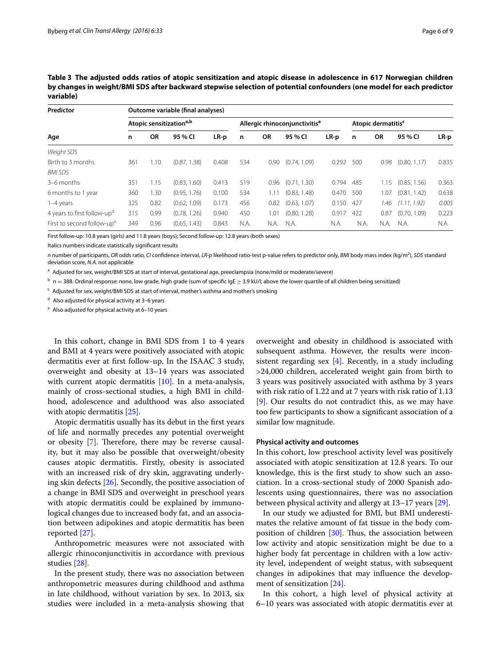| Predictor<br>Age                        | Outcome variable (final analyses)   |           |              |       |                                           |      |              |       |                                |           |              |       |
|-----------------------------------------|-------------------------------------|-----------|--------------|-------|-------------------------------------------|------|--------------|-------|--------------------------------|-----------|--------------|-------|
|                                         | Atopic sensitization <sup>a,b</sup> |           |              |       | Allergic rhinoconjunctivitis <sup>a</sup> |      |              |       | Atopic dermatitis <sup>c</sup> |           |              |       |
|                                         | n                                   | <b>OR</b> | 95 % CI      | LR-p  | n                                         | OR   | 95 % CI      | LR-p  | n                              | <b>OR</b> | 95 % CI      | LR-p  |
| Weight SDS                              |                                     |           |              |       |                                           |      |              |       |                                |           |              |       |
| Birth to 3 months                       | 361                                 | 1.10      | (0.87, 1.38) | 0.408 | 534                                       | 0.90 | (0.74, 1.09) | 0.292 | 500                            | 0.98      | (0.80, 1.17) | 0.835 |
| <b>BMI SDS</b>                          |                                     |           |              |       |                                           |      |              |       |                                |           |              |       |
| 3-6 months                              | 351                                 | 1.15      | (0.83, 1.60) | 0.413 | 519                                       | 0.96 | (0.71, 1.30) | 0.794 | 485                            | 1.15      | (0.85, 1.56) | 0.363 |
| 6 months to 1 year                      | 360                                 | .30       | (0.95, 1.76) | 0.100 | 534                                       | 1.11 | (0.83, 1.48) | 0.470 | 500                            | 1.07      | (0.81, 1.42) | 0.638 |
| 1-4 years                               | 325                                 | 0.82      | (0.62, 1.09) | 0.173 | 456                                       | 0.82 | (0.63, 1.07) | 0.150 | 427                            | 1.46      | (1.11, 1.92) | 0.005 |
| 4 years to first follow-up <sup>d</sup> | 315                                 | 0.99      | (0.78, 1.26) | 0.940 | 450                                       | 1.01 | (0.80, 1.28) | 0.917 | 422                            | 0.87      | (0.70, 1.09) | 0.223 |
| First to second follow-up <sup>e</sup>  | 349                                 | 0.96      | (0.65, 1.43) | 0.843 | N.A.                                      | N.A. | N.A.         | N.A.  | N.A.                           | N.A.      | N.A.         | N.A   |

<span id="page-5-0"></span>**Table 3 The adjusted odds ratios of atopic sensitization and atopic disease in adolescence in 617 Norwegian children by changes in weight/BMI SDS after backward stepwise selection of potential confounders (one model for each predictor variable)**

First follow-up: 10.8 years (girls) and 11.8 years (boys); Second follow-up: 12.8 years (both sexes)

Italics numbers indicate statistically significant results

*n* number of participants, *OR* odds ratio, *CI* confidence interval, *LR*-*p* likelihood ratio-test p-value refers to predictor only, *BMI* body mass index (kg/m2 ), *SDS* standard deviation score, *N.A.* not applicable

<sup>a</sup> Adjusted for sex, weight/BMI SDS at start of interval, gestational age, preeclampsia (none/mild or moderate/severe)

 $b$  n = 388. Ordinal response: none, low grade, high grade (sum of specific IgE  $\geq$  3.9 kU/l; above the lower quartile of all children being sensitized)

<sup>c</sup> Adjusted for sex, weight/BMI SDS at start of interval, mother's asthma and mother's smoking

<sup>d</sup> Also adjusted for physical activity at 3–6 years

<sup>e</sup> Also adjusted for physical activity at 6–10 years

In this cohort, change in BMI SDS from 1 to 4 years and BMI at 4 years were positively associated with atopic dermatitis ever at first follow-up. In the ISAAC 3 study, overweight and obesity at 13–14 years was associated with current atopic dermatitis  $[10]$  $[10]$  $[10]$ . In a meta-analysis, mainly of cross-sectional studies, a high BMI in childhood, adolescence and adulthood was also associated with atopic dermatitis [[25\]](#page-8-11).

Atopic dermatitis usually has its debut in the first years of life and normally precedes any potential overweight or obesity [\[7](#page-7-6)]. Therefore, there may be reverse causality, but it may also be possible that overweight/obesity causes atopic dermatitis. Firstly, obesity is associated with an increased risk of dry skin, aggravating underlying skin defects [[26\]](#page-8-12). Secondly, the positive association of a change in BMI SDS and overweight in preschool years with atopic dermatitis could be explained by immunological changes due to increased body fat, and an association between adipokines and atopic dermatitis has been reported [[27\]](#page-8-13).

Anthropometric measures were not associated with allergic rhinoconjunctivitis in accordance with previous studies [[28\]](#page-8-14).

In the present study, there was no association between anthropometric measures during childhood and asthma in late childhood, without variation by sex. In 2013, six studies were included in a meta-analysis showing that

overweight and obesity in childhood is associated with subsequent asthma. However, the results were inconsistent regarding sex [[4](#page-7-3)]. Recently, in a study including >24,000 children, accelerated weight gain from birth to 3 years was positively associated with asthma by 3 years with risk ratio of 1.22 and at 7 years with risk ratio of 1.13 [[9\]](#page-7-8). Our results do not contradict this, as we may have too few participants to show a significant association of a similar low magnitude.

#### **Physical activity and outcomes**

In this cohort, low preschool activity level was positively associated with atopic sensitization at 12.8 years. To our knowledge, this is the first study to show such an association. In a cross-sectional study of 2000 Spanish adolescents using questionnaires, there was no association between physical activity and allergy at 13–17 years [\[29](#page-8-15)].

In our study we adjusted for BMI, but BMI underestimates the relative amount of fat tissue in the body composition of children [[30\]](#page-8-16). Thus, the association between low activity and atopic sensitization might be due to a higher body fat percentage in children with a low activity level, independent of weight status, with subsequent changes in adipokines that may influence the development of sensitization [[24\]](#page-8-10).

In this cohort, a high level of physical activity at 6–10 years was associated with atopic dermatitis ever at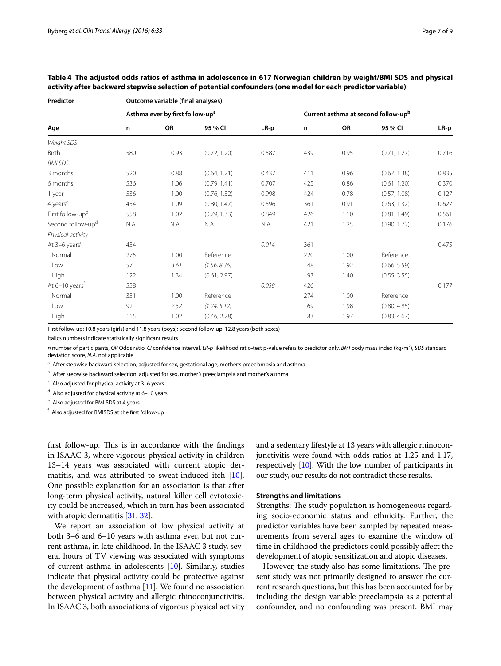**Predictor Outcome variable (final analyses)**

| <b>Predictor</b>              | Outcome variable (linal dilalyses) |                                             |              |        |                                     |      |              |        |  |  |  |  |
|-------------------------------|------------------------------------|---------------------------------------------|--------------|--------|-------------------------------------|------|--------------|--------|--|--|--|--|
| Age                           |                                    | Asthma ever by first follow-up <sup>a</sup> |              |        | Current asthma at second follow-upb |      |              |        |  |  |  |  |
|                               | n                                  | OR                                          | 95 % CI      | $LR-p$ | $\mathbf n$                         | OR   | 95 % CI      | $LR-p$ |  |  |  |  |
| Weight SDS                    |                                    |                                             |              |        |                                     |      |              |        |  |  |  |  |
| Birth                         | 580                                | 0.93                                        | (0.72, 1.20) | 0.587  | 439                                 | 0.95 | (0.71, 1.27) | 0.716  |  |  |  |  |
| <b>BMI SDS</b>                |                                    |                                             |              |        |                                     |      |              |        |  |  |  |  |
| 3 months                      | 520                                | 0.88                                        | (0.64, 1.21) | 0.437  | 411                                 | 0.96 | (0.67, 1.38) | 0.835  |  |  |  |  |
| 6 months                      | 536                                | 1.06                                        | (0.79, 1.41) | 0.707  | 425                                 | 0.86 | (0.61, 1.20) | 0.370  |  |  |  |  |
| 1 year                        | 536                                | 1.00                                        | (0.76, 1.32) | 0.998  | 424                                 | 0.78 | (0.57, 1.08) | 0.127  |  |  |  |  |
| 4 years <sup>c</sup>          | 454                                | 1.09                                        | (0.80, 1.47) | 0.596  | 361                                 | 0.91 | (0.63, 1.32) | 0.627  |  |  |  |  |
| First follow-up <sup>d</sup>  | 558                                | 1.02                                        | (0.79, 1.33) | 0.849  | 426                                 | 1.10 | (0.81, 1.49) | 0.561  |  |  |  |  |
| Second follow-up <sup>d</sup> | N.A.                               | N.A.                                        | N.A.         | N.A.   | 421                                 | 1.25 | (0.90, 1.72) | 0.176  |  |  |  |  |
| Physical activity             |                                    |                                             |              |        |                                     |      |              |        |  |  |  |  |
| At 3-6 years <sup>e</sup>     | 454                                |                                             |              | 0.014  | 361                                 |      |              | 0.475  |  |  |  |  |
| Normal                        | 275                                | 1.00                                        | Reference    |        | 220                                 | 1.00 | Reference    |        |  |  |  |  |
| Low                           | 57                                 | 3.61                                        | (1.56, 8.36) |        | 48                                  | 1.92 | (0.66, 5.59) |        |  |  |  |  |
| High                          | 122                                | 1.34                                        | (0.61, 2.97) |        | 93                                  | 1.40 | (0.55, 3.55) |        |  |  |  |  |
| At 6-10 years <sup>t</sup>    | 558                                |                                             |              | 0.038  | 426                                 |      |              | 0.177  |  |  |  |  |
| Normal                        | 351                                | 1.00                                        | Reference    |        | 274                                 | 1.00 | Reference    |        |  |  |  |  |
| Low                           | 92                                 | 2.52                                        | (1.24, 5.12) |        | 69                                  | 1.98 | (0.80, 4.85) |        |  |  |  |  |
| High                          | 115                                | 1.02                                        | (0.46, 2.28) |        | 83                                  | 1.97 | (0.83, 4.67) |        |  |  |  |  |

<span id="page-6-0"></span>**Table 4 The adjusted odds ratios of asthma in adolescence in 617 Norwegian children by weight/BMI SDS and physical activity after backward stepwise selection of potential confounders (one model for each predictor variable)**

First follow-up: 10.8 years (girls) and 11.8 years (boys); Second follow-up: 12.8 years (both sexes)

Italics numbers indicate statistically significant results

*n* number of participants, *OR* Odds ratio, *CI* confidence interval, *LR*-*p* likelihood ratio-test p-value refers to predictor only, *BMI* body mass index (kg/m2 ), *SDS* standard deviation score, *N.A.* not applicable

<sup>a</sup> After stepwise backward selection, adjusted for sex, gestational age, mother's preeclampsia and asthma

b After stepwise backward selection, adjusted for sex, mother's preeclampsia and mother's asthma

 $c$  Also adjusted for physical activity at 3–6 years

<sup>d</sup> Also adjusted for physical activity at 6–10 years

<sup>e</sup> Also adjusted for BMI SDS at 4 years

<sup>f</sup> Also adjusted for BMISDS at the first follow-up

first follow-up. This is in accordance with the findings in ISAAC 3, where vigorous physical activity in children 13–14 years was associated with current atopic dermatitis, and was attributed to sweat-induced itch [\[10](#page-7-9)]. One possible explanation for an association is that after long-term physical activity, natural killer cell cytotoxicity could be increased, which in turn has been associated with atopic dermatitis [[31,](#page-8-17) [32](#page-8-18)].

We report an association of low physical activity at both 3–6 and 6–10 years with asthma ever, but not current asthma, in late childhood. In the ISAAC 3 study, several hours of TV viewing was associated with symptoms of current asthma in adolescents [\[10\]](#page-7-9). Similarly, studies indicate that physical activity could be protective against the development of asthma  $[11]$  $[11]$  $[11]$ . We found no association between physical activity and allergic rhinoconjunctivitis. In ISAAC 3, both associations of vigorous physical activity and a sedentary lifestyle at 13 years with allergic rhinoconjunctivitis were found with odds ratios at 1.25 and 1.17, respectively [\[10\]](#page-7-9). With the low number of participants in our study, our results do not contradict these results.

#### **Strengths and limitations**

Strengths: The study population is homogeneous regarding socio-economic status and ethnicity. Further, the predictor variables have been sampled by repeated measurements from several ages to examine the window of time in childhood the predictors could possibly affect the development of atopic sensitization and atopic diseases.

However, the study also has some limitations. The present study was not primarily designed to answer the current research questions, but this has been accounted for by including the design variable preeclampsia as a potential confounder, and no confounding was present. BMI may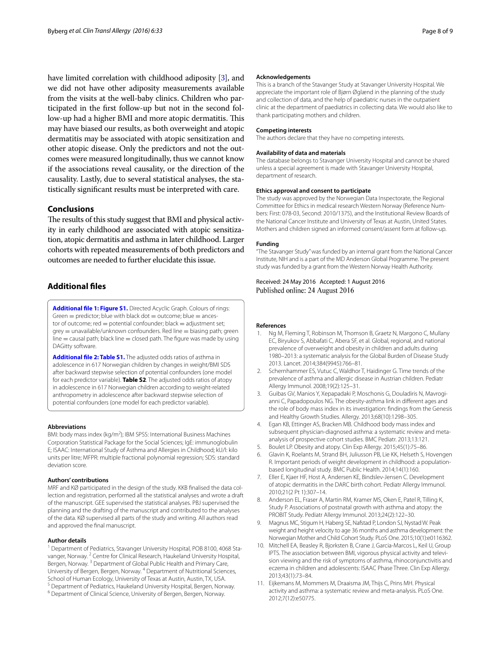have limited correlation with childhood adiposity [[3](#page-7-2)], and we did not have other adiposity measurements available from the visits at the well-baby clinics. Children who participated in the first follow-up but not in the second follow-up had a higher BMI and more atopic dermatitis. This may have biased our results, as both overweight and atopic dermatitis may be associated with atopic sensitization and other atopic disease. Only the predictors and not the outcomes were measured longitudinally, thus we cannot know if the associations reveal causality, or the direction of the causality. Lastly, due to several statistical analyses, the statistically significant results must be interpreted with care.

# **Conclusions**

The results of this study suggest that BMI and physical activity in early childhood are associated with atopic sensitization, atopic dermatitis and asthma in later childhood. Larger cohorts with repeated measurements of both predictors and outcomes are needed to further elucidate this issue.

# **Additional files**

<span id="page-7-12"></span>**[Additional file 1: Figure S1.](http://dx.doi.org/10.1186/s13601-016-0124-9)** Directed Acyclic Graph. Colours of rings: Green  $=$  predictor; blue with black dot  $=$  outcome; blue  $=$  ancestor of outcome;  $red = potential$  confounder; black  $=$  adjustment set;  $qrev =$  unavailable/unknown confounders. Red line  $=$  biasing path; green  $line =$  causal path; black line  $=$  closed path. The figure was made by using DAGitty software.

<span id="page-7-11"></span>**[Additional file 2: Table S1.](http://dx.doi.org/10.1186/s13601-016-0124-9)** The adjusted odds ratios of asthma in adolescence in 617 Norwegian children by changes in weight/BMI SDS after backward stepwise selection of potential confounders (one model for each predictor variable). **Table S2**. The adjusted odds ratios of atopy in adolescence in 617 Norwegian children according to weight-related anthropometry in adolescence after backward stepwise selection of potential confounders (one model for each predictor variable).

#### **Abbreviations**

BMI: body mass index (kg/m<sup>2</sup>); IBM SPSS: International Business Machines Corporation Statistical Package for the Social Sciences; IgE: immunoglobulin E; ISAAC: International Study of Asthma and Allergies in Childhood; kU/l: kilo units per litre; MFPR: multiple fractional polynomial regression; SDS: standard deviation score.

#### **Authors' contributions**

MRF and KØ participated in the design of the study. KKB finalised the data collection and registration, performed all the statistical analyses and wrote a draft of the manuscript. GEE supervised the statistical analyses. PBJ supervised the planning and the drafting of the manuscript and contributed to the analyses of the data. KØ supervised all parts of the study and writing. All authors read and approved the final manuscript.

#### **Author details**

<sup>1</sup> Department of Pediatrics, Stavanger University Hospital, POB 8100, 4068 Stavanger, Norway. <sup>2</sup> Centre for Clinical Research, Haukeland University Hospital, Bergen, Norway. 3 Department of Global Public Health and Primary Care, University of Bergen, Bergen, Norway. 4 Department of Nutritional Sciences, School of Human Ecology, University of Texas at Austin, Austin, TX, USA.<br><sup>5</sup> Department of Pediatrics, Haukeland University Hospital, Bergen, Norway.<br><sup>6</sup> Department of Clinical Science, University of Bergen, Bergen, Norway

#### **Acknowledgements**

This is a branch of the Stavanger Study at Stavanger University Hospital. We appreciate the important role of Bjørn Øglænd in the planning of the study and collection of data, and the help of paediatric nurses in the outpatient clinic at the department of paediatrics in collecting data. We would also like to thank participating mothers and children.

#### **Competing interests**

The authors declare that they have no competing interests.

#### **Availability of data and materials**

The database belongs to Stavanger University Hospital and cannot be shared unless a special agreement is made with Stavanger University Hospital, department of research.

#### **Ethics approval and consent to participate**

The study was approved by the Norwegian Data Inspectorate, the Regional Committee for Ethics in medical research Western Norway (Reference Numbers: First: 078-03, Second: 2010/1375), and the Institutional Review Boards of the National Cancer Institute and University of Texas at Austin, United States. Mothers and children signed an informed consent/assent form at follow-up.

#### **Funding**

"The Stavanger Study" was funded by an internal grant from the National Cancer Institute, NIH and is a part of the MD Anderson Global Programme. The present study was funded by a grant from the Western Norway Health Authority.

Received: 24 May 2016 Accepted: 1 August 2016 Published online: 24 August 2016

#### **References**

- <span id="page-7-0"></span>Ng M, Fleming T, Robinson M, Thomson B, Graetz N, Margono C, Mullany EC, Biryukov S, Abbafati C, Abera SF, et al. Global, regional, and national prevalence of overweight and obesity in children and adults during 1980–2013: a systematic analysis for the Global Burden of Disease Study 2013. Lancet. 2014;384(9945):766–81.
- <span id="page-7-1"></span>2. Schernhammer ES, Vutuc C, Waldhor T, Haidinger G. Time trends of the prevalence of asthma and allergic disease in Austrian children. Pediatr Allergy Immunol. 2008;19(2):125–31.
- <span id="page-7-2"></span>3. Guibas GV, Manios Y, Xepapadaki P, Moschonis G, Douladiris N, Mavrogianni C, Papadopoulos NG. The obesity-asthma link in different ages and the role of body mass index in its investigation: findings from the Genesis and Healthy Growth Studies. Allergy. 2013;68(10):1298–305.
- <span id="page-7-3"></span>4. Egan KB, Ettinger AS, Bracken MB. Childhood body mass index and subsequent physician-diagnosed asthma: a systematic review and metaanalysis of prospective cohort studies. BMC Pediatr. 2013;13:121.
- <span id="page-7-4"></span>5. Boulet LP. Obesity and atopy. Clin Exp Allergy. 2015;45(1):75–86.
- <span id="page-7-5"></span>6. Glavin K, Roelants M, Strand BH, Juliusson PB, Lie KK, Helseth S, Hovengen R. Important periods of weight development in childhood: a populationbased longitudinal study. BMC Public Health. 2014;14(1):160.
- <span id="page-7-6"></span>7. Eller E, Kjaer HF, Host A, Andersen KE, Bindslev-Jensen C. Development of atopic dermatitis in the DARC birth cohort. Pediatr Allergy Immunol. 2010;21(2 Pt 1):307–14.
- <span id="page-7-7"></span>8. Anderson EL, Fraser A, Martin RM, Kramer MS, Oken E, Patel R, Tilling K, Study P. Associations of postnatal growth with asthma and atopy: the PROBIT Study. Pediatr Allergy Immunol. 2013;24(2):122–30.
- <span id="page-7-8"></span>9. Magnus MC, Stigum H, Haberg SE, Nafstad P, London SJ, Nystad W. Peak weight and height velocity to age 36 months and asthma development: the Norwegian Mother and Child Cohort Study. PLoS One. 2015;10(1):e0116362.
- <span id="page-7-9"></span>10. Mitchell EA, Beasley R, Bjorksten B, Crane J, Garcia-Marcos L, Keil U, Group IPTS. The association between BMI, vigorous physical activity and television viewing and the risk of symptoms of asthma, rhinoconjunctivitis and eczema in children and adolescents: ISAAC Phase Three. Clin Exp Allergy. 2013;43(1):73–84.
- <span id="page-7-10"></span>11. Eijkemans M, Mommers M, Draaisma JM, Thijs C, Prins MH. Physical activity and asthma: a systematic review and meta-analysis. PLoS One. 2012;7(12):e50775.